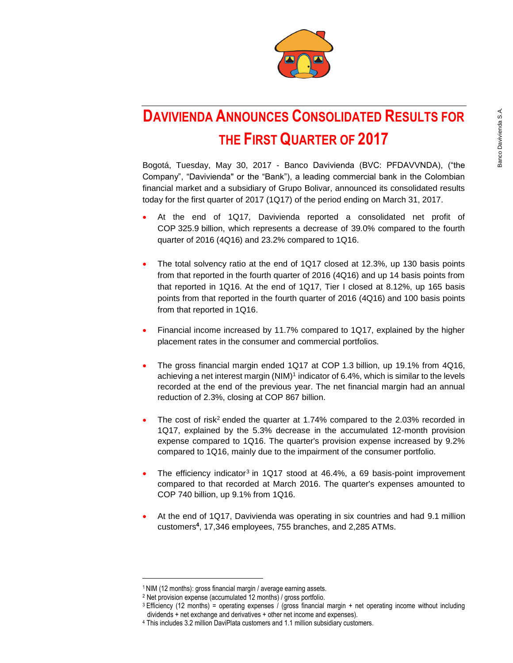

# **DAVIVIENDA ANNOUNCES CONSOLIDATED RESULTS FOR THE FIRST QUARTER OF 2017**

Bogotá, Tuesday, May 30, 2017 - Banco Davivienda (BVC: PFDAVVNDA), ("the Company", "Davivienda" or the "Bank"), a leading commercial bank in the Colombian financial market and a subsidiary of Grupo Bolivar, announced its consolidated results today for the first quarter of 2017 (1Q17) of the period ending on March 31, 2017.

- At the end of 1Q17, Davivienda reported a consolidated net profit of COP 325.9 billion, which represents a decrease of 39.0% compared to the fourth quarter of 2016 (4Q16) and 23.2% compared to 1Q16.
- The total solvency ratio at the end of 1Q17 closed at 12.3%, up 130 basis points from that reported in the fourth quarter of 2016 (4Q16) and up 14 basis points from that reported in 1Q16. At the end of 1Q17, Tier I closed at 8.12%, up 165 basis points from that reported in the fourth quarter of 2016 (4Q16) and 100 basis points from that reported in 1Q16.
- Financial income increased by 11.7% compared to 1Q17, explained by the higher placement rates in the consumer and commercial portfolios.
- The gross financial margin ended 1Q17 at COP 1.3 billion, up 19.1% from 4Q16, achieving a net interest margin (NIM)<sup>1</sup> indicator of 6.4%, which is similar to the levels recorded at the end of the previous year. The net financial margin had an annual reduction of 2.3%, closing at COP 867 billion.
- The cost of risk<sup>2</sup> ended the quarter at 1.74% compared to the 2.03% recorded in 1Q17, explained by the 5.3% decrease in the accumulated 12-month provision expense compared to 1Q16. The quarter's provision expense increased by 9.2% compared to 1Q16, mainly due to the impairment of the consumer portfolio.
- The efficiency indicator<sup>3</sup> in 1Q17 stood at 46.4%, a 69 basis-point improvement compared to that recorded at March 2016. The quarter's expenses amounted to COP 740 billion, up 9.1% from 1Q16.
- At the end of 1Q17, Davivienda was operating in six countries and had 9.1 million customers**<sup>4</sup>** , 17,346 employees, 755 branches, and 2,285 ATMs.

 $\overline{a}$ 

<sup>1</sup> NIM (12 months): gross financial margin / average earning assets.

<sup>2</sup> Net provision expense (accumulated 12 months) / gross portfolio.

 $3$  Efficiency (12 months) = operating expenses / (gross financial margin + net operating income without including dividends + net exchange and derivatives + other net income and expenses).

<sup>4</sup> This includes 3.2 million DaviPlata customers and 1.1 million subsidiary customers.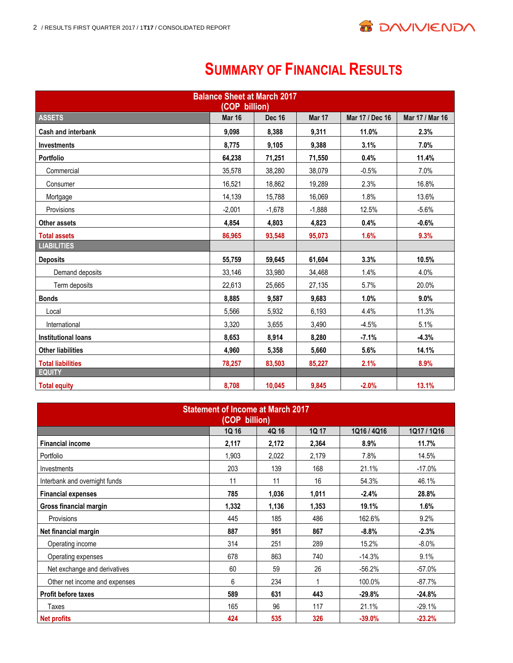

# **SUMMARY OF FINANCIAL RESULTS**

| <b>Balance Sheet at March 2017</b><br>(COP billion) |               |               |          |                 |                 |  |  |  |  |
|-----------------------------------------------------|---------------|---------------|----------|-----------------|-----------------|--|--|--|--|
| <b>ASSETS</b>                                       | <b>Mar 16</b> | <b>Dec 16</b> | Mar 17   | Mar 17 / Dec 16 | Mar 17 / Mar 16 |  |  |  |  |
| Cash and interbank                                  | 9,098         | 8,388         | 9,311    | 11.0%           | 2.3%            |  |  |  |  |
| <b>Investments</b>                                  | 8,775         | 9,105         | 9,388    | 3.1%            | 7.0%            |  |  |  |  |
| <b>Portfolio</b>                                    | 64,238        | 71,251        | 71,550   | 0.4%            | 11.4%           |  |  |  |  |
| Commercial                                          | 35,578        | 38,280        | 38,079   | $-0.5%$         | 7.0%            |  |  |  |  |
| Consumer                                            | 16,521        | 18,862        | 19,289   | 2.3%            | 16.8%           |  |  |  |  |
| Mortgage                                            | 14,139        | 15.788        | 16,069   | 1.8%            | 13.6%           |  |  |  |  |
| Provisions                                          | $-2,001$      | $-1,678$      | $-1,888$ | 12.5%           | $-5.6%$         |  |  |  |  |
| <b>Other assets</b>                                 | 4,854         | 4,803         | 4,823    | 0.4%            | $-0.6%$         |  |  |  |  |
| <b>Total assets</b>                                 | 86,965        | 93,548        | 95,073   | 1.6%            | 9.3%            |  |  |  |  |
| <b>LIABILITIES</b>                                  |               |               |          |                 |                 |  |  |  |  |
| <b>Deposits</b>                                     | 55,759        | 59,645        | 61,604   | 3.3%            | 10.5%           |  |  |  |  |
| Demand deposits                                     | 33,146        | 33,980        | 34,468   | 1.4%            | 4.0%            |  |  |  |  |
| Term deposits                                       | 22,613        | 25,665        | 27,135   | 5.7%            | 20.0%           |  |  |  |  |
| <b>Bonds</b>                                        | 8,885         | 9,587         | 9,683    | 1.0%            | 9.0%            |  |  |  |  |
| Local                                               | 5,566         | 5,932         | 6,193    | 4.4%            | 11.3%           |  |  |  |  |
| International                                       | 3,320         | 3,655         | 3,490    | $-4.5%$         | 5.1%            |  |  |  |  |
| <b>Institutional loans</b>                          | 8,653         | 8,914         | 8,280    | $-7.1%$         | $-4.3%$         |  |  |  |  |
| <b>Other liabilities</b>                            | 4,960         | 5,358         | 5.660    | 5.6%            | 14.1%           |  |  |  |  |
| <b>Total liabilities</b>                            | 78,257        | 83,503        | 85,227   | 2.1%            | 8.9%            |  |  |  |  |
| <b>EQUITY</b>                                       |               |               |          |                 |                 |  |  |  |  |
| <b>Total equity</b>                                 | 8,708         | 10,045        | 9.845    | $-2.0%$         | 13.1%           |  |  |  |  |

| <b>Statement of Income at March 2017</b><br>(COP billion) |       |       |       |          |          |  |  |  |  |  |  |
|-----------------------------------------------------------|-------|-------|-------|----------|----------|--|--|--|--|--|--|
| 1Q 16<br>4Q 16<br>1Q 17<br>1Q16 / 4Q16<br>1Q17 / 1Q16     |       |       |       |          |          |  |  |  |  |  |  |
| <b>Financial income</b>                                   | 2,117 | 2,172 | 2,364 | 8.9%     | 11.7%    |  |  |  |  |  |  |
| Portfolio                                                 | 1,903 | 2,022 | 2,179 | 7.8%     | 14.5%    |  |  |  |  |  |  |
| Investments                                               | 203   | 139   | 168   | 21.1%    | $-17.0%$ |  |  |  |  |  |  |
| Interbank and overnight funds                             | 11    | 11    | 16    | 54.3%    | 46.1%    |  |  |  |  |  |  |
| <b>Financial expenses</b>                                 | 785   | 1,036 | 1,011 | $-2.4%$  | 28.8%    |  |  |  |  |  |  |
| Gross financial margin                                    | 1,332 | 1,136 | 1,353 | 19.1%    | 1.6%     |  |  |  |  |  |  |
| Provisions                                                | 445   | 185   | 486   | 162.6%   | 9.2%     |  |  |  |  |  |  |
| Net financial margin                                      | 887   | 951   | 867   | $-8.8%$  | $-2.3%$  |  |  |  |  |  |  |
| Operating income                                          | 314   | 251   | 289   | 15.2%    | $-8.0%$  |  |  |  |  |  |  |
| Operating expenses                                        | 678   | 863   | 740   | $-14.3%$ | 9.1%     |  |  |  |  |  |  |
| Net exchange and derivatives                              | 60    | 59    | 26    | $-56.2%$ | $-57.0%$ |  |  |  |  |  |  |
| Other net income and expenses                             | 6     | 234   | 1     | 100.0%   | $-87.7%$ |  |  |  |  |  |  |
| <b>Profit before taxes</b>                                | 589   | 631   | 443   | $-29.8%$ | $-24.8%$ |  |  |  |  |  |  |
| Taxes                                                     | 165   | 96    | 117   | 21.1%    | $-29.1%$ |  |  |  |  |  |  |
| Net profits                                               | 424   | 535   | 326   | $-39.0%$ | $-23.2%$ |  |  |  |  |  |  |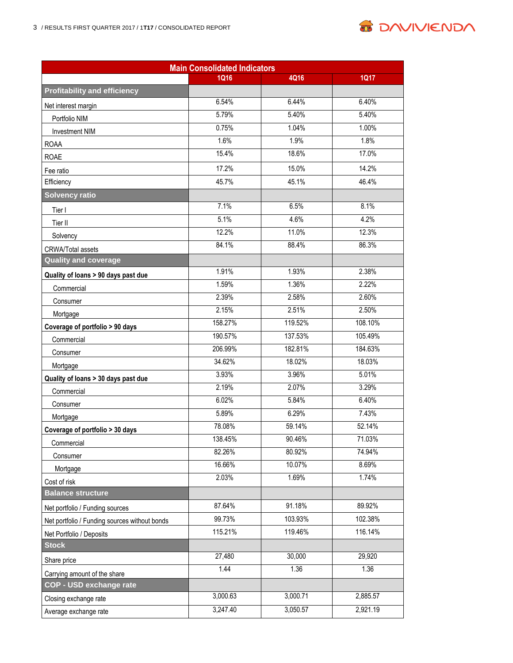

**B DAVIVIEND/**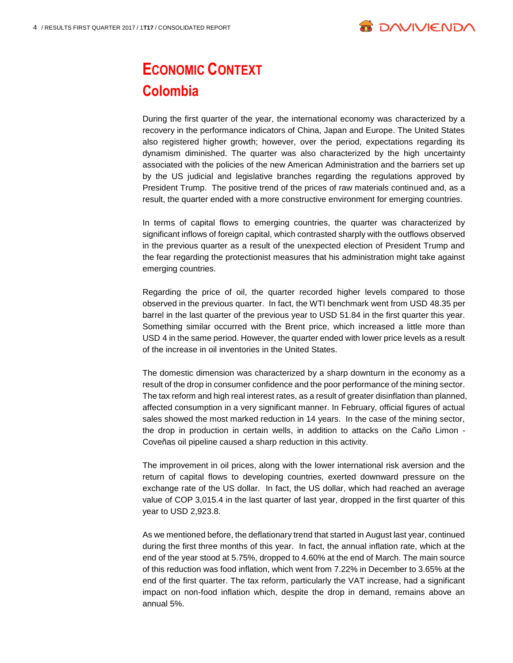

# **ECONOMIC CONTEXT Colombia**

During the first quarter of the year, the international economy was characterized by a recovery in the performance indicators of China, Japan and Europe. The United States also registered higher growth; however, over the period, expectations regarding its dynamism diminished. The quarter was also characterized by the high uncertainty associated with the policies of the new American Administration and the barriers set up by the US judicial and legislative branches regarding the regulations approved by President Trump. The positive trend of the prices of raw materials continued and, as a result, the quarter ended with a more constructive environment for emerging countries.

In terms of capital flows to emerging countries, the quarter was characterized by significant inflows of foreign capital, which contrasted sharply with the outflows observed in the previous quarter as a result of the unexpected election of President Trump and the fear regarding the protectionist measures that his administration might take against emerging countries.

Regarding the price of oil, the quarter recorded higher levels compared to those observed in the previous quarter. In fact, the WTI benchmark went from USD 48.35 per barrel in the last quarter of the previous year to USD 51.84 in the first quarter this year. Something similar occurred with the Brent price, which increased a little more than USD 4 in the same period. However, the quarter ended with lower price levels as a result of the increase in oil inventories in the United States.

The domestic dimension was characterized by a sharp downturn in the economy as a result of the drop in consumer confidence and the poor performance of the mining sector. The tax reform and high real interest rates, as a result of greater disinflation than planned, affected consumption in a very significant manner. In February, official figures of actual sales showed the most marked reduction in 14 years. In the case of the mining sector, the drop in production in certain wells, in addition to attacks on the Caño Limon - Coveñas oil pipeline caused a sharp reduction in this activity.

The improvement in oil prices, along with the lower international risk aversion and the return of capital flows to developing countries, exerted downward pressure on the exchange rate of the US dollar. In fact, the US dollar, which had reached an average value of COP 3,015.4 in the last quarter of last year, dropped in the first quarter of this year to USD 2,923.8.

As we mentioned before, the deflationary trend that started in August last year, continued during the first three months of this year. In fact, the annual inflation rate, which at the end of the year stood at 5.75%, dropped to 4.60% at the end of March. The main source of this reduction was food inflation, which went from 7.22% in December to 3.65% at the end of the first quarter. The tax reform, particularly the VAT increase, had a significant impact on non-food inflation which, despite the drop in demand, remains above an annual 5%.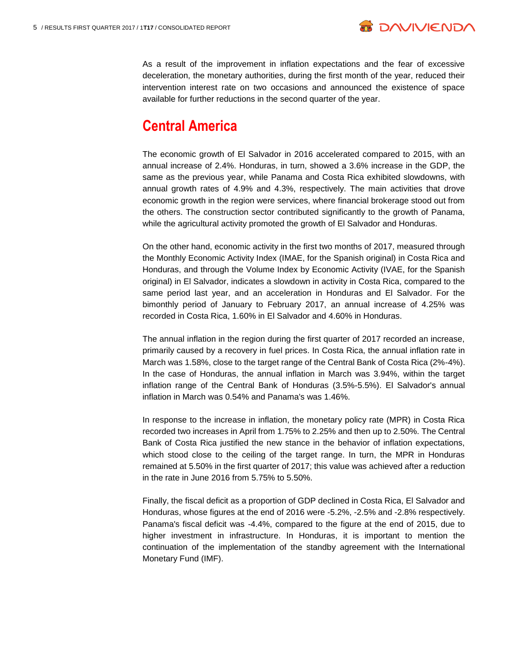

As a result of the improvement in inflation expectations and the fear of excessive deceleration, the monetary authorities, during the first month of the year, reduced their intervention interest rate on two occasions and announced the existence of space available for further reductions in the second quarter of the year.

## **Central America**

The economic growth of El Salvador in 2016 accelerated compared to 2015, with an annual increase of 2.4%. Honduras, in turn, showed a 3.6% increase in the GDP, the same as the previous year, while Panama and Costa Rica exhibited slowdowns, with annual growth rates of 4.9% and 4.3%, respectively. The main activities that drove economic growth in the region were services, where financial brokerage stood out from the others. The construction sector contributed significantly to the growth of Panama, while the agricultural activity promoted the growth of El Salvador and Honduras.

On the other hand, economic activity in the first two months of 2017, measured through the Monthly Economic Activity Index (IMAE, for the Spanish original) in Costa Rica and Honduras, and through the Volume Index by Economic Activity (IVAE, for the Spanish original) in El Salvador, indicates a slowdown in activity in Costa Rica, compared to the same period last year, and an acceleration in Honduras and El Salvador. For the bimonthly period of January to February 2017, an annual increase of 4.25% was recorded in Costa Rica, 1.60% in El Salvador and 4.60% in Honduras.

The annual inflation in the region during the first quarter of 2017 recorded an increase, primarily caused by a recovery in fuel prices. In Costa Rica, the annual inflation rate in March was 1.58%, close to the target range of the Central Bank of Costa Rica (2%-4%). In the case of Honduras, the annual inflation in March was 3.94%, within the target inflation range of the Central Bank of Honduras (3.5%-5.5%). El Salvador's annual inflation in March was 0.54% and Panama's was 1.46%.

In response to the increase in inflation, the monetary policy rate (MPR) in Costa Rica recorded two increases in April from 1.75% to 2.25% and then up to 2.50%. The Central Bank of Costa Rica justified the new stance in the behavior of inflation expectations, which stood close to the ceiling of the target range. In turn, the MPR in Honduras remained at 5.50% in the first quarter of 2017; this value was achieved after a reduction in the rate in June 2016 from 5.75% to 5.50%.

Finally, the fiscal deficit as a proportion of GDP declined in Costa Rica, El Salvador and Honduras, whose figures at the end of 2016 were -5.2%, -2.5% and -2.8% respectively. Panama's fiscal deficit was -4.4%, compared to the figure at the end of 2015, due to higher investment in infrastructure. In Honduras, it is important to mention the continuation of the implementation of the standby agreement with the International Monetary Fund (IMF).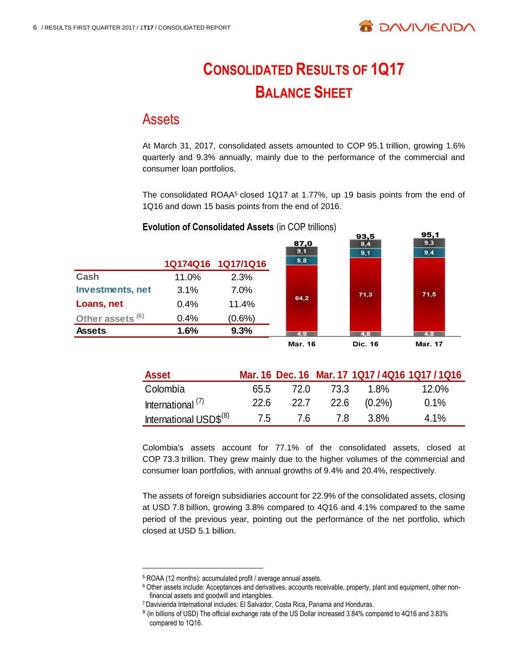

# **CONSOLIDATED RESULTS OF 1Q17 BALANCE SHEET**

### Assets

At March 31, 2017, consolidated assets amounted to COP 95.1 trillion, growing 1.6% quarterly and 9.3% annually, mainly due to the performance of the commercial and consumer loan portfolios.

The consolidated ROAA<sup>5</sup> closed 1Q17 at 1.77%, up 19 basis points from the end of 1Q16 and down 15 basis points from the end of 2016.



#### **Evolution of Consolidated Assets** (in COP trillions)

| <b>Asset</b>                       |      |      |      |           | Mar. 16 Dec. 16 Mar. 17 1Q17 / 4Q16 1Q17 / 1Q16 |
|------------------------------------|------|------|------|-----------|-------------------------------------------------|
| Colombia                           | 65.5 | 72.0 | 73.3 | 1 8%      | 12.0%                                           |
| International <sup>(7)</sup>       | 22.6 | 22.7 | 22.6 | $(0.2\%)$ | $0.1\%$                                         |
| International USD\$ <sup>(8)</sup> | 7.5  | 76   | 7 R  | 3.8%      | $4.1\%$                                         |

Colombia's assets account for 77.1% of the consolidated assets, closed at COP 73.3 trillion. They grew mainly due to the higher volumes of the commercial and consumer loan portfolios, with annual growths of 9.4% and 20.4%, respectively.

The assets of foreign subsidiaries account for 22.9% of the consolidated assets, closing at USD 7.8 billion, growing 3.8% compared to 4Q16 and 4.1% compared to the same period of the previous year, pointing out the performance of the net portfolio, which closed at USD 5.1 billion.

<sup>5</sup> ROAA (12 months): accumulated profit / average annual assets.

<sup>6</sup> Other assets include: Acceptances and derivatives, accounts receivable, property, plant and equipment, other nonfinancial assets and goodwill and intangibles.

<sup>7</sup> Davivienda International includes: El Salvador, Costa Rica, Panama and Honduras.

<sup>&</sup>lt;sup>8</sup> (in billions of USD) The official exchange rate of the US Dollar increased 3.84% compared to 4Q16 and 3.83% compared to 1Q16.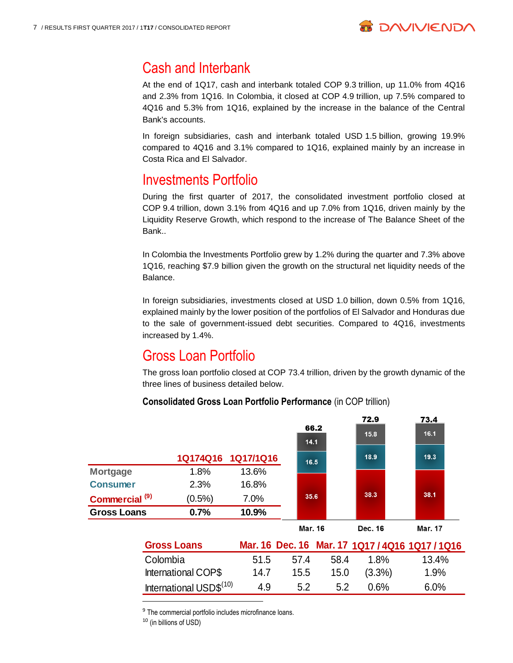

# Cash and Interbank

At the end of 1Q17, cash and interbank totaled COP 9.3 trillion, up 11.0% from 4Q16 and 2.3% from 1Q16. In Colombia, it closed at COP 4.9 trillion, up 7.5% compared to 4Q16 and 5.3% from 1Q16, explained by the increase in the balance of the Central Bank's accounts.

In foreign subsidiaries, cash and interbank totaled USD 1.5 billion, growing 19.9% compared to 4Q16 and 3.1% compared to 1Q16, explained mainly by an increase in Costa Rica and El Salvador.

# Investments Portfolio

During the first quarter of 2017, the consolidated investment portfolio closed at COP 9.4 trillion, down 3.1% from 4Q16 and up 7.0% from 1Q16, driven mainly by the Liquidity Reserve Growth, which respond to the increase of The Balance Sheet of the Bank..

In Colombia the Investments Portfolio grew by 1.2% during the quarter and 7.3% above 1Q16, reaching \$7.9 billion given the growth on the structural net liquidity needs of the Balance.

In foreign subsidiaries, investments closed at USD 1.0 billion, down 0.5% from 1Q16, explained mainly by the lower position of the portfolios of El Salvador and Honduras due to the sale of government-issued debt securities. Compared to 4Q16, investments increased by 1.4%.

# Gross Loan Portfolio

The gross loan portfolio closed at COP 73.4 trillion, driven by the growth dynamic of the three lines of business detailed below.

#### **Consolidated Gross Loan Portfolio Performance (in COP trillion)**

|                           |           |                    | 66.2<br>14.1 | 72.9<br>15.8 | 73.4<br>16.1   |
|---------------------------|-----------|--------------------|--------------|--------------|----------------|
|                           |           | 1Q174Q16 1Q17/1Q16 | 16.5         | 18.9         | 19.3           |
| <b>Mortgage</b>           | 1.8%      | 13.6%              |              |              |                |
| <b>Consumer</b>           | 2.3%      | 16.8%              |              |              |                |
| Commercial <sup>(9)</sup> | $(0.5\%)$ | 7.0%               | 35.6         | 38.3         | 38.1           |
| <b>Gross Loans</b>        | 0.7%      | 10.9%              |              |              |                |
|                           |           |                    | Mar. 16      | Dec. 16      | <b>Mar. 17</b> |

| <b>Gross Loans</b>                  |      |      |      |           | Mar. 16 Dec. 16 Mar. 17 1Q17 / 4Q16 1Q17 / 1Q16 |
|-------------------------------------|------|------|------|-----------|-------------------------------------------------|
| Colombia                            | 51.5 | 574  | 58.4 | 1.8%      | 13.4%                                           |
| International COP\$                 | 14.7 | 15.5 | 15.0 | $(3.3\%)$ | $1.9\%$                                         |
| International USD\$ <sup>(10)</sup> | 4.9  | 52   | 52   | 0.6%      | 6.0%                                            |

<sup>9</sup> The commercial portfolio includes microfinance loans.

<sup>10</sup> (in billions of USD)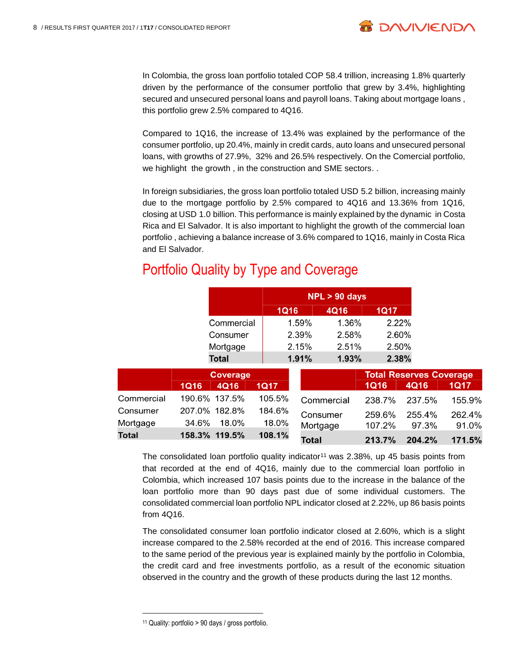

In Colombia, the gross loan portfolio totaled COP 58.4 trillion, increasing 1.8% quarterly driven by the performance of the consumer portfolio that grew by 3.4%, highlighting secured and unsecured personal loans and payroll loans. Taking about mortgage loans , this portfolio grew 2.5% compared to 4Q16.

Compared to 1Q16, the increase of 13.4% was explained by the performance of the consumer portfolio, up 20.4%, mainly in credit cards, auto loans and unsecured personal loans, with growths of 27.9%, 32% and 26.5% respectively. On the Comercial portfolio, we highlight the growth , in the construction and SME sectors. .

In foreign subsidiaries, the gross loan portfolio totaled USD 5.2 billion, increasing mainly due to the mortgage portfolio by 2.5% compared to 4Q16 and 13.36% from 1Q16, closing at USD 1.0 billion. This performance is mainly explained by the dynamic in Costa Rica and El Salvador. It is also important to highlight the growth of the commercial loan portfolio , achieving a balance increase of 3.6% compared to 1Q16, mainly in Costa Rica and El Salvador.

# Portfolio Quality by Type and Coverage

|              |             |                 |             | $NPL > 90$ days |            |             |                                |             |
|--------------|-------------|-----------------|-------------|-----------------|------------|-------------|--------------------------------|-------------|
|              |             |                 | <b>1Q16</b> |                 | 4Q16       | 1Q17        |                                |             |
|              |             | Commercial      |             | 1.59%           | 1.36%      | 2.22%       |                                |             |
|              |             | Consumer        |             | 2.39%           | 2.58%      | 2.60%       |                                |             |
|              |             | Mortgage        |             | 2.15%           | 2.51%      | 2.50%       |                                |             |
|              |             | <b>Total</b>    |             | 1.91%           | 1.93%      | 2.38%       |                                |             |
|              |             | <b>Coverage</b> |             |                 |            |             | <b>Total Reserves Coverage</b> |             |
|              | <b>1Q16</b> | 4Q16            | <b>1Q17</b> |                 |            | <b>1Q16</b> | 4Q16                           | <b>1Q17</b> |
| Commercial   |             | 190.6% 137.5%   | 105.5%      |                 | Commercial | 238.7%      | 237.5%                         | 155.9%      |
| Consumer     |             | 207.0% 182.8%   | 184.6%      |                 | Consumer   | 259.6%      | 255.4%                         | 262.4%      |
| Mortgage     | 34.6%       | 18.0%           | 18.0%       | Mortgage        |            | 107.2%      | 97.3%                          | 91.0%       |
| <b>Total</b> |             | 158.3% 119.5%   | 108.1%      | <b>Total</b>    |            | 213.7%      | 204.2%                         | 171.5%      |

The consolidated loan portfolio quality indicator<sup>11</sup> was  $2.38\%$ , up 45 basis points from that recorded at the end of 4Q16, mainly due to the commercial loan portfolio in Colombia, which increased 107 basis points due to the increase in the balance of the loan portfolio more than 90 days past due of some individual customers. The consolidated commercial loan portfolio NPL indicator closed at 2.22%, up 86 basis points from 4Q16.

The consolidated consumer loan portfolio indicator closed at 2.60%, which is a slight increase compared to the 2.58% recorded at the end of 2016. This increase compared to the same period of the previous year is explained mainly by the portfolio in Colombia, the credit card and free investments portfolio, as a result of the economic situation observed in the country and the growth of these products during the last 12 months.

 $\overline{a}$ 

<sup>11</sup> Quality: portfolio > 90 days / gross portfolio.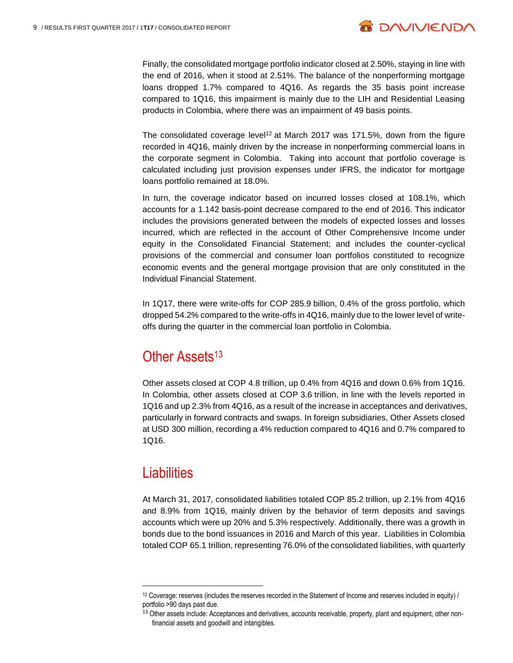

Finally, the consolidated mortgage portfolio indicator closed at 2.50%, staying in line with the end of 2016, when it stood at 2.51%. The balance of the nonperforming mortgage loans dropped 1.7% compared to 4Q16. As regards the 35 basis point increase compared to 1Q16, this impairment is mainly due to the LIH and Residential Leasing products in Colombia, where there was an impairment of 49 basis points.

The consolidated coverage level<sup>12</sup> at March 2017 was 171.5%, down from the figure recorded in 4Q16, mainly driven by the increase in nonperforming commercial loans in the corporate segment in Colombia. Taking into account that portfolio coverage is calculated including just provision expenses under IFRS, the indicator for mortgage loans portfolio remained at 18.0%.

In turn, the coverage indicator based on incurred losses closed at 108.1%, which accounts for a 1.142 basis-point decrease compared to the end of 2016. This indicator includes the provisions generated between the models of expected losses and losses incurred, which are reflected in the account of Other Comprehensive Income under equity in the Consolidated Financial Statement; and includes the counter-cyclical provisions of the commercial and consumer loan portfolios constituted to recognize economic events and the general mortgage provision that are only constituted in the Individual Financial Statement.

In 1Q17, there were write-offs for COP 285.9 billion, 0.4% of the gross portfolio, which dropped 54.2% compared to the write-offs in 4Q16, mainly due to the lower level of writeoffs during the quarter in the commercial loan portfolio in Colombia.

# Other Assets<sup>13</sup>

Other assets closed at COP 4.8 trillion, up 0.4% from 4Q16 and down 0.6% from 1Q16. In Colombia, other assets closed at COP 3.6 trillion, in line with the levels reported in 1Q16 and up 2.3% from 4Q16, as a result of the increase in acceptances and derivatives, particularly in forward contracts and swaps. In foreign subsidiaries, Other Assets closed at USD 300 million, recording a 4% reduction compared to 4Q16 and 0.7% compared to 1Q16.

### **Liabilities**

 $\overline{a}$ 

At March 31, 2017, consolidated liabilities totaled COP 85.2 trillion, up 2.1% from 4Q16 and 8.9% from 1Q16, mainly driven by the behavior of term deposits and savings accounts which were up 20% and 5.3% respectively. Additionally, there was a growth in bonds due to the bond issuances in 2016 and March of this year. Liabilities in Colombia totaled COP 65.1 trillion, representing 76.0% of the consolidated liabilities, with quarterly

 $12$  Coverage: reserves (includes the reserves recorded in the Statement of Income and reserves included in equity) / portfolio >90 days past due.

<sup>13</sup> Other assets include: Acceptances and derivatives, accounts receivable, property, plant and equipment, other nonfinancial assets and goodwill and intangibles.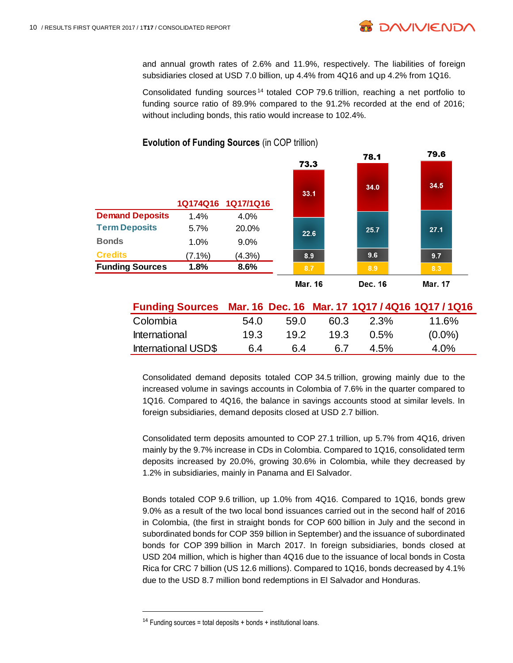

and annual growth rates of 2.6% and 11.9%, respectively. The liabilities of foreign subsidiaries closed at USD 7.0 billion, up 4.4% from 4Q16 and up 4.2% from 1Q16.

Consolidated funding sources <sup>14</sup> totaled COP 79.6 trillion, reaching a net portfolio to funding source ratio of 89.9% compared to the 91.2% recorded at the end of 2016; without including bonds, this ratio would increase to 102.4%.



#### **Evolution of Funding Sources** (in COP trillion)

| Funding Sources Mar. 16 Dec. 16 Mar. 17 1Q17 / 4Q16 1Q17 / 1Q16 |      |      |      |         |           |
|-----------------------------------------------------------------|------|------|------|---------|-----------|
| Colombia                                                        | 54.0 | 59.0 | 60.3 | 2.3%    | 11.6%     |
| International                                                   | 19.3 | 19.2 | 19.3 | $0.5\%$ | $(0.0\%)$ |
| <b>International USD\$</b>                                      | 6.4  | 64   | 67   | 4.5%    | 4.0%      |

Consolidated demand deposits totaled COP 34.5 trillion, growing mainly due to the increased volume in savings accounts in Colombia of 7.6% in the quarter compared to 1Q16. Compared to 4Q16, the balance in savings accounts stood at similar levels. In foreign subsidiaries, demand deposits closed at USD 2.7 billion.

Consolidated term deposits amounted to COP 27.1 trillion, up 5.7% from 4Q16, driven mainly by the 9.7% increase in CDs in Colombia. Compared to 1Q16, consolidated term deposits increased by 20.0%, growing 30.6% in Colombia, while they decreased by 1.2% in subsidiaries, mainly in Panama and El Salvador.

Bonds totaled COP 9.6 trillion, up 1.0% from 4Q16. Compared to 1Q16, bonds grew 9.0% as a result of the two local bond issuances carried out in the second half of 2016 in Colombia, (the first in straight bonds for COP 600 billion in July and the second in subordinated bonds for COP 359 billion in September) and the issuance of subordinated bonds for COP 399 billion in March 2017. In foreign subsidiaries, bonds closed at USD 204 million, which is higher than 4Q16 due to the issuance of local bonds in Costa Rica for CRC 7 billion (US 12.6 millions). Compared to 1Q16, bonds decreased by 4.1% due to the USD 8.7 million bond redemptions in El Salvador and Honduras.

<sup>&</sup>lt;sup>14</sup> Funding sources = total deposits + bonds + institutional loans.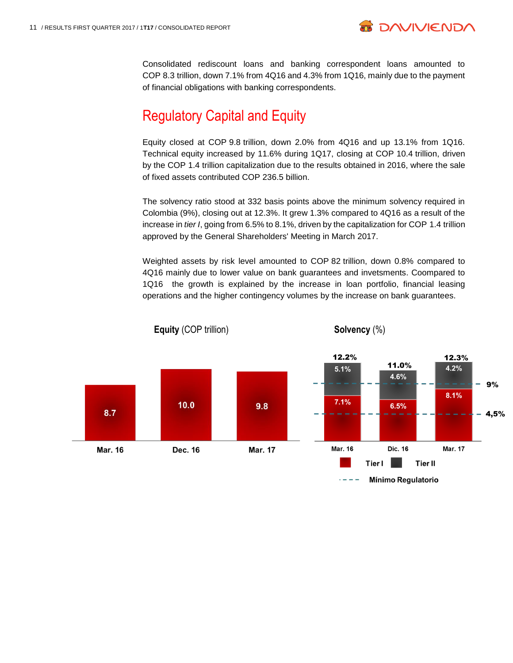

**B DAVIVIEND** 

Consolidated rediscount loans and banking correspondent loans amounted to COP 8.3 trillion, down 7.1% from 4Q16 and 4.3% from 1Q16, mainly due to the payment of financial obligations with banking correspondents.

# Regulatory Capital and Equity

Equity closed at COP 9.8 trillion, down 2.0% from 4Q16 and up 13.1% from 1Q16. Technical equity increased by 11.6% during 1Q17, closing at COP 10.4 trillion, driven by the COP 1.4 trillion capitalization due to the results obtained in 2016, where the sale of fixed assets contributed COP 236.5 billion.

The solvency ratio stood at 332 basis points above the minimum solvency required in Colombia (9%), closing out at 12.3%. It grew 1.3% compared to 4Q16 as a result of the increase in *tier I*, going from 6.5% to 8.1%, driven by the capitalization for COP 1.4 trillion approved by the General Shareholders' Meeting in March 2017.

Weighted assets by risk level amounted to COP 82 trillion, down 0.8% compared to 4Q16 mainly due to lower value on bank guarantees and invetsments. Coompared to 1Q16 the growth is explained by the increase in loan portfolio, financial leasing operations and the higher contingency volumes by the increase on bank guarantees.

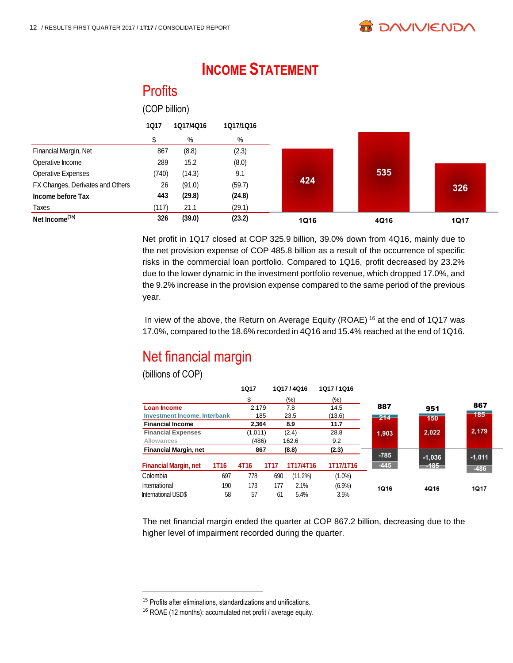**Profits** 

|                                  | (COP billion) |           |           |             |      |             |
|----------------------------------|---------------|-----------|-----------|-------------|------|-------------|
|                                  | <b>1Q17</b>   | 1Q17/4Q16 | 1Q17/1Q16 |             |      |             |
|                                  | \$            | %         | %         |             |      |             |
| Financial Margin, Net            | 867           | (8.8)     | (2.3)     |             |      |             |
| Operative Income                 | 289           | 15.2      | (8.0)     |             |      |             |
| Operative Expenses               | (740)         | (14.3)    | 9.1       |             | 535  |             |
| FX Changes, Derivates and Others | 26            | (91.0)    | (59.7)    | 424         |      | 326         |
| Income before Tax                | 443           | (29.8)    | (24.8)    |             |      |             |
| Taxes                            | (117)         | 21.1      | (29.1)    |             |      |             |
| Net Income <sup>(15)</sup>       | 326           | (39.0)    | (23.2)    | <b>1Q16</b> | 4Q16 | <b>1Q17</b> |

# **INCOME STATEMENT**

Net profit in 1Q17 closed at COP 325.9 billion, 39.0% down from 4Q16, mainly due to the net provision expense of COP 485.8 billion as a result of the occurrence of specific risks in the commercial loan portfolio. Compared to 1Q16, profit decreased by 23.2% due to the lower dynamic in the investment portfolio revenue, which dropped 17.0%, and the 9.2% increase in the provision expense compared to the same period of the previous year.

In view of the above, the Return on Average Equity (ROAE) <sup>16</sup> at the end of 1Q17 was 17.0%, compared to the 18.6% recorded in 4Q16 and 15.4% reached at the end of 1Q16.

# Net financial margin

(billions of COP)

 $\overline{a}$ 

|                              |             | <b>1Q17</b> |             | 1Q17/4Q16  | 1Q17/1Q16 |             |                     |
|------------------------------|-------------|-------------|-------------|------------|-----------|-------------|---------------------|
|                              |             | \$          |             | (%)        | (%)       |             |                     |
| <b>Loan Income</b>           |             | 2.179       |             | 7.8        | 14.5      | 887         | 951                 |
| Investment Income, Interbank |             | 185         |             | 23.5       | (13.6)    | $214 -$     | 150                 |
| <b>Financial Income</b>      |             | 2.364       |             | 8.9        | 11.7      |             |                     |
| <b>Financial Expenses</b>    |             | (1,011)     |             | (2.4)      | 28.8      | 1.903       | 2,022               |
| Allowances                   |             | (486)       |             | 162.6      | 9.2       |             |                     |
| <b>Financial Margin, net</b> |             | 867         |             | (8.8)      | (2.3)     | $-785$      |                     |
| <b>Financial Margin, net</b> | <b>1T16</b> | 4T16        | <b>1T17</b> | 1T17/4T16  | 1T17/1T16 | $-445$      | $-1,036$<br>$-185-$ |
| Colombia                     | 697         | 778         | 690         | $(11.2\%)$ | $(1.0\%)$ |             |                     |
| International                | 190         | 173         | 177         | 2.1%       | (6.9%)    | <b>1Q16</b> | 4Q16                |
| International USD\$          | 58          | 57          | 61          | 5.4%       | 3.5%      |             |                     |

The net financial margin ended the quarter at COP 867.2 billion, decreasing due to the higher level of impairment recorded during the quarter.

<sup>15</sup> Profits after eliminations, standardizations and unifications.

<sup>16</sup> ROAE (12 months): accumulated net profit / average equity.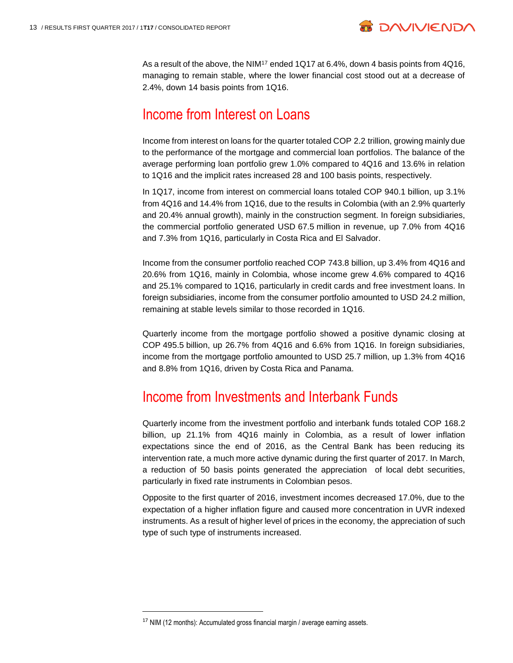

As a result of the above, the NIM<sup>17</sup> ended 1Q17 at 6.4%, down 4 basis points from  $4Q16$ , managing to remain stable, where the lower financial cost stood out at a decrease of 2.4%, down 14 basis points from 1Q16.

### Income from Interest on Loans

Income from interest on loans for the quarter totaled COP 2.2 trillion, growing mainly due to the performance of the mortgage and commercial loan portfolios. The balance of the average performing loan portfolio grew 1.0% compared to 4Q16 and 13.6% in relation to 1Q16 and the implicit rates increased 28 and 100 basis points, respectively.

In 1Q17, income from interest on commercial loans totaled COP 940.1 billion, up 3.1% from 4Q16 and 14.4% from 1Q16, due to the results in Colombia (with an 2.9% quarterly and 20.4% annual growth), mainly in the construction segment. In foreign subsidiaries, the commercial portfolio generated USD 67.5 million in revenue, up 7.0% from 4Q16 and 7.3% from 1Q16, particularly in Costa Rica and El Salvador.

Income from the consumer portfolio reached COP 743.8 billion, up 3.4% from 4Q16 and 20.6% from 1Q16, mainly in Colombia, whose income grew 4.6% compared to 4Q16 and 25.1% compared to 1Q16, particularly in credit cards and free investment loans. In foreign subsidiaries, income from the consumer portfolio amounted to USD 24.2 million, remaining at stable levels similar to those recorded in 1Q16.

Quarterly income from the mortgage portfolio showed a positive dynamic closing at COP 495.5 billion, up 26.7% from 4Q16 and 6.6% from 1Q16. In foreign subsidiaries, income from the mortgage portfolio amounted to USD 25.7 million, up 1.3% from 4Q16 and 8.8% from 1Q16, driven by Costa Rica and Panama.

### Income from Investments and Interbank Funds

Quarterly income from the investment portfolio and interbank funds totaled COP 168.2 billion, up 21.1% from 4Q16 mainly in Colombia, as a result of lower inflation expectations since the end of 2016, as the Central Bank has been reducing its intervention rate, a much more active dynamic during the first quarter of 2017. In March, a reduction of 50 basis points generated the appreciation of local debt securities, particularly in fixed rate instruments in Colombian pesos.

Opposite to the first quarter of 2016, investment incomes decreased 17.0%, due to the expectation of a higher inflation figure and caused more concentration in UVR indexed instruments. As a result of higher level of prices in the economy, the appreciation of such type of such type of instruments increased.

 $17$  NIM (12 months): Accumulated gross financial margin / average earning assets.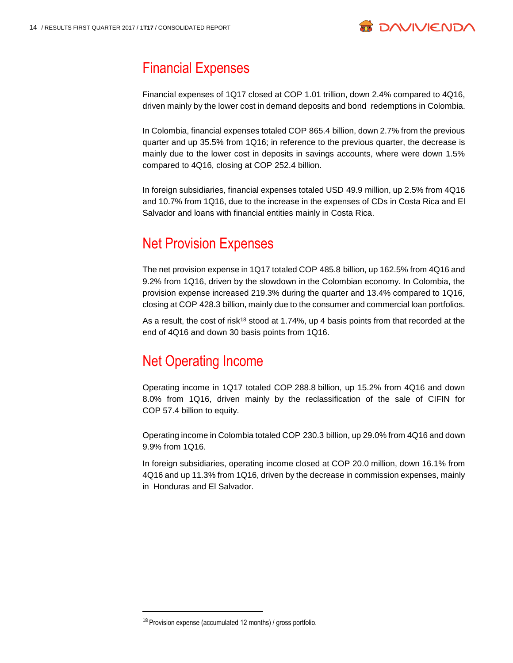

## Financial Expenses

Financial expenses of 1Q17 closed at COP 1.01 trillion, down 2.4% compared to 4Q16, driven mainly by the lower cost in demand deposits and bond redemptions in Colombia.

In Colombia, financial expenses totaled COP 865.4 billion, down 2.7% from the previous quarter and up 35.5% from 1Q16; in reference to the previous quarter, the decrease is mainly due to the lower cost in deposits in savings accounts, where were down 1.5% compared to 4Q16, closing at COP 252.4 billion.

In foreign subsidiaries, financial expenses totaled USD 49.9 million, up 2.5% from 4Q16 and 10.7% from 1Q16, due to the increase in the expenses of CDs in Costa Rica and El Salvador and loans with financial entities mainly in Costa Rica.

# Net Provision Expenses

The net provision expense in 1Q17 totaled COP 485.8 billion, up 162.5% from 4Q16 and 9.2% from 1Q16, driven by the slowdown in the Colombian economy. In Colombia, the provision expense increased 219.3% during the quarter and 13.4% compared to 1Q16, closing at COP 428.3 billion, mainly due to the consumer and commercial loan portfolios.

As a result, the cost of risk<sup>18</sup> stood at 1.74%, up 4 basis points from that recorded at the end of 4Q16 and down 30 basis points from 1Q16.

# Net Operating Income

Operating income in 1Q17 totaled COP 288.8 billion, up 15.2% from 4Q16 and down 8.0% from 1Q16, driven mainly by the reclassification of the sale of CIFIN for COP 57.4 billion to equity.

Operating income in Colombia totaled COP 230.3 billion, up 29.0% from 4Q16 and down 9.9% from 1Q16.

In foreign subsidiaries, operating income closed at COP 20.0 million, down 16.1% from 4Q16 and up 11.3% from 1Q16, driven by the decrease in commission expenses, mainly in Honduras and El Salvador.

<sup>18</sup> Provision expense (accumulated 12 months) / gross portfolio.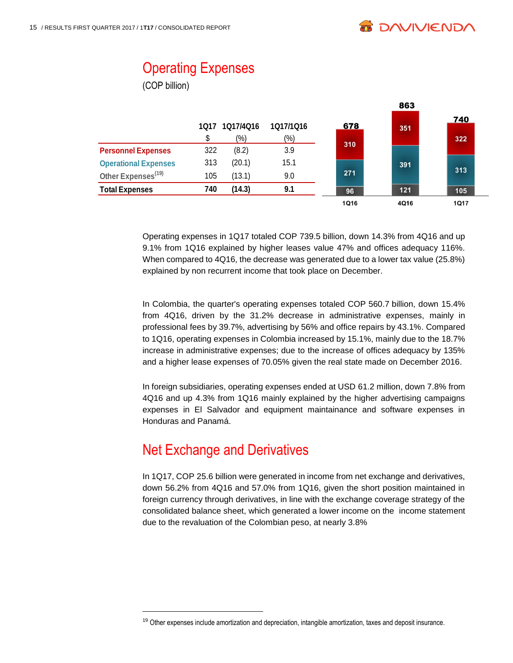863

# **Operating Expenses**

(COP billion)

|                                | 1017 | 1Q17/4Q16 | 1017/1016 | 678         | 351  | 740  |
|--------------------------------|------|-----------|-----------|-------------|------|------|
|                                |      | $(\%)$    | (%)       |             |      | 322  |
| <b>Personnel Expenses</b>      | 322  | (8.2)     | 3.9       | 310         |      |      |
| <b>Operational Expenses</b>    | 313  | (20.1)    | 15.1      |             | 391  |      |
| Other Expenses <sup>(19)</sup> | 105  | (13.1)    | 9.0       | 271         |      | 313  |
| <b>Total Expenses</b>          | 740  | (14.3)    | 9.1       | 96          | 121  | 105  |
|                                |      |           |           | <b>1Q16</b> | 4Q16 | 1Q17 |

Operating expenses in 1Q17 totaled COP 739.5 billion, down 14.3% from 4Q16 and up 9.1% from 1Q16 explained by higher leases value 47% and offices adequacy 116%. When compared to 4Q16, the decrease was generated due to a lower tax value (25.8%) explained by non recurrent income that took place on December.

In Colombia, the quarter's operating expenses totaled COP 560.7 billion, down 15.4% from 4Q16, driven by the 31.2% decrease in administrative expenses, mainly in professional fees by 39.7%, advertising by 56% and office repairs by 43.1%. Compared to 1Q16, operating expenses in Colombia increased by 15.1%, mainly due to the 18.7% increase in administrative expenses; due to the increase of offices adequacy by 135% and a higher lease expenses of 70.05% given the real state made on December 2016.

In foreign subsidiaries, operating expenses ended at USD 61.2 million, down 7.8% from 4Q16 and up 4.3% from 1Q16 mainly explained by the higher advertising campaigns expenses in El Salvador and equipment maintainance and software expenses in Honduras and Panamá.

### Net Exchange and Derivatives

l

In 1Q17, COP 25.6 billion were generated in income from net exchange and derivatives, down 56.2% from 4Q16 and 57.0% from 1Q16, given the short position maintained in foreign currency through derivatives, in line with the exchange coverage strategy of the consolidated balance sheet, which generated a lower income on the income statement due to the revaluation of the Colombian peso, at nearly 3.8%

<sup>&</sup>lt;sup>19</sup> Other expenses include amortization and depreciation, intangible amortization, taxes and deposit insurance.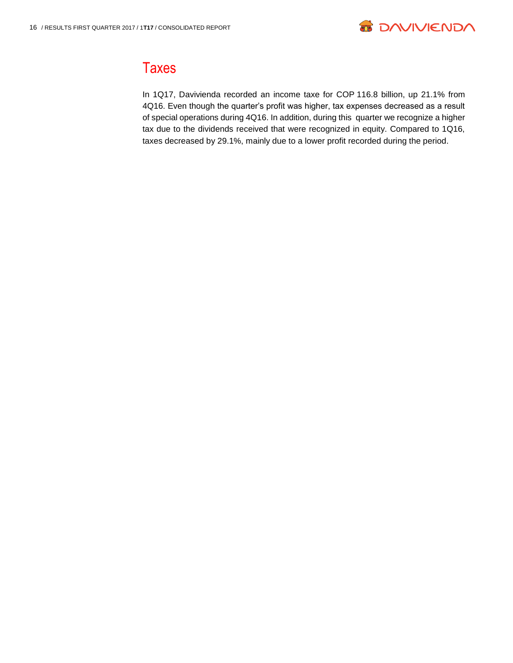

# **Taxes**

In 1Q17, Davivienda recorded an income taxe for COP 116.8 billion, up 21.1% from 4Q16. Even though the quarter's profit was higher, tax expenses decreased as a result of special operations during 4Q16. In addition, during this quarter we recognize a higher tax due to the dividends received that were recognized in equity. Compared to 1Q16, taxes decreased by 29.1%, mainly due to a lower profit recorded during the period.